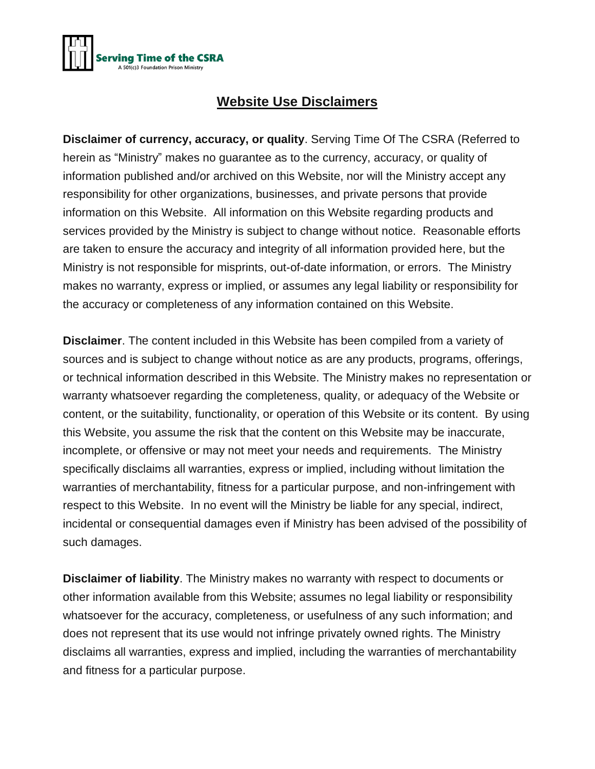

## **Website Use Disclaimers**

**Disclaimer of currency, accuracy, or quality**. Serving Time Of The CSRA (Referred to herein as "Ministry" makes no guarantee as to the currency, accuracy, or quality of information published and/or archived on this Website, nor will the Ministry accept any responsibility for other organizations, businesses, and private persons that provide information on this Website. All information on this Website regarding products and services provided by the Ministry is subject to change without notice. Reasonable efforts are taken to ensure the accuracy and integrity of all information provided here, but the Ministry is not responsible for misprints, out-of-date information, or errors. The Ministry makes no warranty, express or implied, or assumes any legal liability or responsibility for the accuracy or completeness of any information contained on this Website.

**Disclaimer**. The content included in this Website has been compiled from a variety of sources and is subject to change without notice as are any products, programs, offerings, or technical information described in this Website. The Ministry makes no representation or warranty whatsoever regarding the completeness, quality, or adequacy of the Website or content, or the suitability, functionality, or operation of this Website or its content. By using this Website, you assume the risk that the content on this Website may be inaccurate, incomplete, or offensive or may not meet your needs and requirements. The Ministry specifically disclaims all warranties, express or implied, including without limitation the warranties of merchantability, fitness for a particular purpose, and non-infringement with respect to this Website. In no event will the Ministry be liable for any special, indirect, incidental or consequential damages even if Ministry has been advised of the possibility of such damages.

**Disclaimer of liability**. The Ministry makes no warranty with respect to documents or other information available from this Website; assumes no legal liability or responsibility whatsoever for the accuracy, completeness, or usefulness of any such information; and does not represent that its use would not infringe privately owned rights. The Ministry disclaims all warranties, express and implied, including the warranties of merchantability and fitness for a particular purpose.